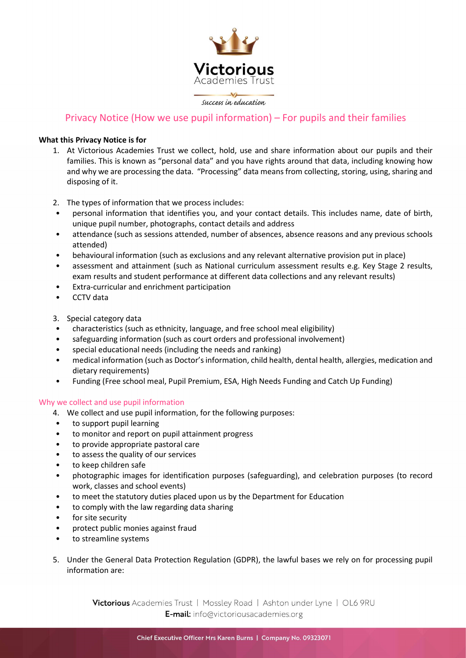

# Privacy Notice (How we use pupil information) – For pupils and their families

# What this Privacy Notice is for

- 1. At Victorious Academies Trust we collect, hold, use and share information about our pupils and their families. This is known as "personal data" and you have rights around that data, including knowing how and why we are processing the data. "Processing" data means from collecting, storing, using, sharing and disposing of it.
- 2. The types of information that we process includes:
- personal information that identifies you, and your contact details. This includes name, date of birth, unique pupil number, photographs, contact details and address
- attendance (such as sessions attended, number of absences, absence reasons and any previous schools attended)
- behavioural information (such as exclusions and any relevant alternative provision put in place)
- assessment and attainment (such as National curriculum assessment results e.g. Key Stage 2 results, exam results and student performance at different data collections and any relevant results)
- Extra-curricular and enrichment participation
- CCTV data
- 3. Special category data
- characteristics (such as ethnicity, language, and free school meal eligibility)
- safeguarding information (such as court orders and professional involvement)
- special educational needs (including the needs and ranking)
- medical information (such as Doctor's information, child health, dental health, allergies, medication and dietary requirements)
- Funding (Free school meal, Pupil Premium, ESA, High Needs Funding and Catch Up Funding)

# Why we collect and use pupil information

- 4. We collect and use pupil information, for the following purposes:
- to support pupil learning
- to monitor and report on pupil attainment progress
- to provide appropriate pastoral care
- to assess the quality of our services
- to keep children safe
- photographic images for identification purposes (safeguarding), and celebration purposes (to record work, classes and school events)
- to meet the statutory duties placed upon us by the Department for Education
- to comply with the law regarding data sharing
- for site security
- protect public monies against fraud
- to streamline systems
- 5. Under the General Data Protection Regulation (GDPR), the lawful bases we rely on for processing pupil information are: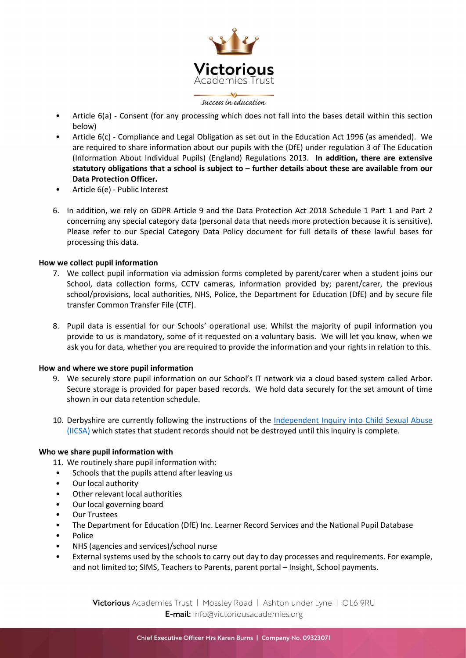

- Article 6(a) Consent (for any processing which does not fall into the bases detail within this section below)
- Article 6(c) Compliance and Legal Obligation as set out in the Education Act 1996 (as amended). We are required to share information about our pupils with the (DfE) under regulation 3 of The Education (Information About Individual Pupils) (England) Regulations 2013. In addition, there are extensive statutory obligations that a school is subject to – further details about these are available from our Data Protection Officer.
- Article 6(e) Public Interest
- 6. In addition, we rely on GDPR Article 9 and the Data Protection Act 2018 Schedule 1 Part 1 and Part 2 concerning any special category data (personal data that needs more protection because it is sensitive). Please refer to our Special Category Data Policy document for full details of these lawful bases for processing this data.

## How we collect pupil information

- 7. We collect pupil information via admission forms completed by parent/carer when a student joins our School, data collection forms, CCTV cameras, information provided by; parent/carer, the previous school/provisions, local authorities, NHS, Police, the Department for Education (DfE) and by secure file transfer Common Transfer File (CTF).
- 8. Pupil data is essential for our Schools' operational use. Whilst the majority of pupil information you provide to us is mandatory, some of it requested on a voluntary basis. We will let you know, when we ask you for data, whether you are required to provide the information and your rights in relation to this.

#### How and where we store pupil information

- 9. We securely store pupil information on our School's IT network via a cloud based system called Arbor. Secure storage is provided for paper based records. We hold data securely for the set amount of time shown in our data retention schedule.
- 10. Derbyshire are currently following the instructions of the Independent Inquiry into Child Sexual Abuse (IICSA) which states that student records should not be destroyed until this inquiry is complete.

## Who we share pupil information with

- 11. We routinely share pupil information with:
- Schools that the pupils attend after leaving us
- Our local authority
- Other relevant local authorities
- Our local governing board
- Our Trustees
- The Department for Education (DfE) Inc. Learner Record Services and the National Pupil Database
- Police
- NHS (agencies and services)/school nurse
- External systems used by the schools to carry out day to day processes and requirements. For example, and not limited to; SIMS, Teachers to Parents, parent portal – Insight, School payments.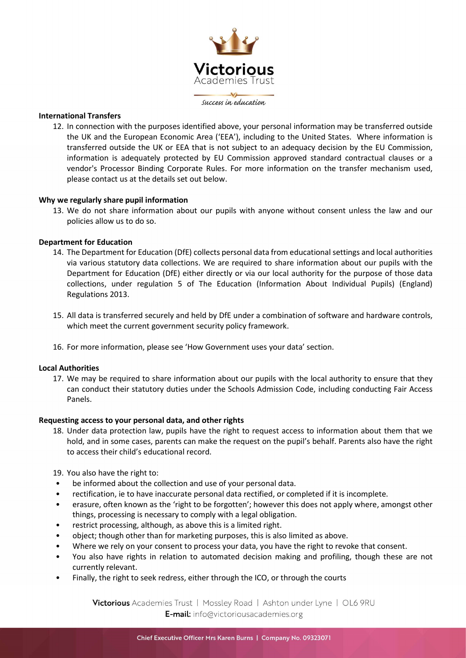

### International Transfers

12. In connection with the purposes identified above, your personal information may be transferred outside the UK and the European Economic Area ('EEA'), including to the United States. Where information is transferred outside the UK or EEA that is not subject to an adequacy decision by the EU Commission, information is adequately protected by EU Commission approved standard contractual clauses or a vendor's Processor Binding Corporate Rules. For more information on the transfer mechanism used, please contact us at the details set out below.

#### Why we regularly share pupil information

13. We do not share information about our pupils with anyone without consent unless the law and our policies allow us to do so.

#### Department for Education

- 14. The Department for Education (DfE) collects personal data from educational settings and local authorities via various statutory data collections. We are required to share information about our pupils with the Department for Education (DfE) either directly or via our local authority for the purpose of those data collections, under regulation 5 of The Education (Information About Individual Pupils) (England) Regulations 2013.
- 15. All data is transferred securely and held by DfE under a combination of software and hardware controls, which meet the current government security policy framework.
- 16. For more information, please see 'How Government uses your data' section.

#### Local Authorities

17. We may be required to share information about our pupils with the local authority to ensure that they can conduct their statutory duties under the Schools Admission Code, including conducting Fair Access Panels.

#### Requesting access to your personal data, and other rights

18. Under data protection law, pupils have the right to request access to information about them that we hold, and in some cases, parents can make the request on the pupil's behalf. Parents also have the right to access their child's educational record.

19. You also have the right to:

- be informed about the collection and use of your personal data.
- rectification, ie to have inaccurate personal data rectified, or completed if it is incomplete.
- erasure, often known as the 'right to be forgotten'; however this does not apply where, amongst other things, processing is necessary to comply with a legal obligation.
- restrict processing, although, as above this is a limited right.
- object; though other than for marketing purposes, this is also limited as above.
- Where we rely on your consent to process your data, you have the right to revoke that consent.
- You also have rights in relation to automated decision making and profiling, though these are not currently relevant.
- Finally, the right to seek redress, either through the ICO, or through the courts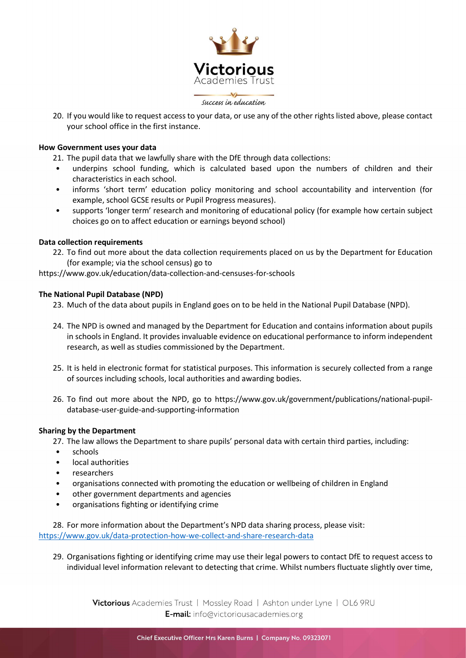

20. If you would like to request access to your data, or use any of the other rights listed above, please contact your school office in the first instance.

#### How Government uses your data

- 21. The pupil data that we lawfully share with the DfE through data collections:
- underpins school funding, which is calculated based upon the numbers of children and their characteristics in each school.
- informs 'short term' education policy monitoring and school accountability and intervention (for example, school GCSE results or Pupil Progress measures).
- supports 'longer term' research and monitoring of educational policy (for example how certain subject choices go on to affect education or earnings beyond school)

## Data collection requirements

22. To find out more about the data collection requirements placed on us by the Department for Education (for example; via the school census) go to

https://www.gov.uk/education/data-collection-and-censuses-for-schools

#### The National Pupil Database (NPD)

- 23. Much of the data about pupils in England goes on to be held in the National Pupil Database (NPD).
- 24. The NPD is owned and managed by the Department for Education and contains information about pupils in schools in England. It provides invaluable evidence on educational performance to inform independent research, as well as studies commissioned by the Department.
- 25. It is held in electronic format for statistical purposes. This information is securely collected from a range of sources including schools, local authorities and awarding bodies.
- 26. To find out more about the NPD, go to https://www.gov.uk/government/publications/national-pupildatabase-user-guide-and-supporting-information

## Sharing by the Department

27. The law allows the Department to share pupils' personal data with certain third parties, including:

- schools
- local authorities
- researchers
- organisations connected with promoting the education or wellbeing of children in England
- other government departments and agencies
- organisations fighting or identifying crime

28. For more information about the Department's NPD data sharing process, please visit: https://www.gov.uk/data-protection-how-we-collect-and-share-research-data

29. Organisations fighting or identifying crime may use their legal powers to contact DfE to request access to individual level information relevant to detecting that crime. Whilst numbers fluctuate slightly over time,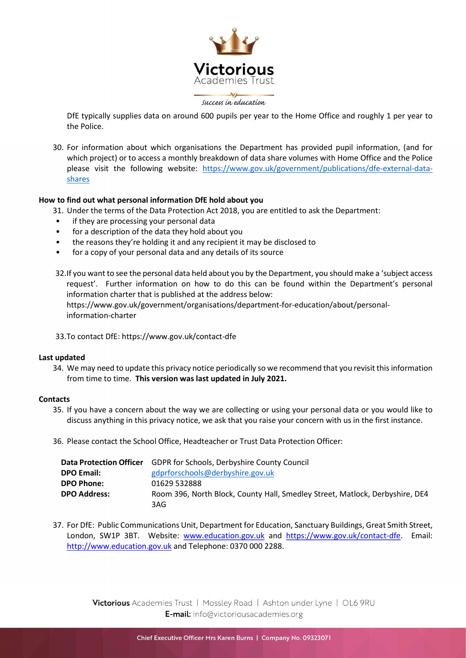

DfE typically supplies data on around 600 pupils per year to the Home Office and roughly 1 per year to the Police.

30. For information about which organisations the Department has provided pupil information, (and for which project) or to access a monthly breakdown of data share volumes with Home Office and the Police please visit the following website: https://www.gov.uk/government/publications/dfe-external-datashares

# How to find out what personal information DfE hold about you

- 31. Under the terms of the Data Protection Act 2018, you are entitled to ask the Department:
- if they are processing your personal data
- for a description of the data they hold about you
- the reasons they're holding it and any recipient it may be disclosed to
- for a copy of your personal data and any details of its source

32.If you want to see the personal data held about you by the Department, you should make a 'subject access request'. Further information on how to do this can be found within the Department's personal information charter that is published at the address below: https://www.gov.uk/government/organisations/department-for-education/about/personalinformation-charter

33.To contact DfE: https://www.gov.uk/contact-dfe

## Last updated

34. We may need to update this privacy notice periodically so we recommend that you revisit this information from time to time. This version was last updated in July 2021.

## **Contacts**

- 35. If you have a concern about the way we are collecting or using your personal data or you would like to discuss anything in this privacy notice, we ask that you raise your concern with us in the first instance.
- 36. Please contact the School Office, Headteacher or Trust Data Protection Officer:

| <b>Data Protection Officer</b> | <b>GDPR for Schools, Derbyshire County Council</b>                           |
|--------------------------------|------------------------------------------------------------------------------|
| <b>DPO Email:</b>              | gdprforschools@derbyshire.gov.uk                                             |
| <b>DPO Phone:</b>              | 01629 532888                                                                 |
| <b>DPO Address:</b>            | Room 396, North Block, County Hall, Smedley Street, Matlock, Derbyshire, DE4 |
|                                | 3AG.                                                                         |

37. For DfE: Public Communications Unit, Department for Education, Sanctuary Buildings, Great Smith Street, London, SW1P 3BT. Website: www.education.gov.uk and https://www.gov.uk/contact-dfe. Email: http://www.education.gov.uk and Telephone: 0370 000 2288.